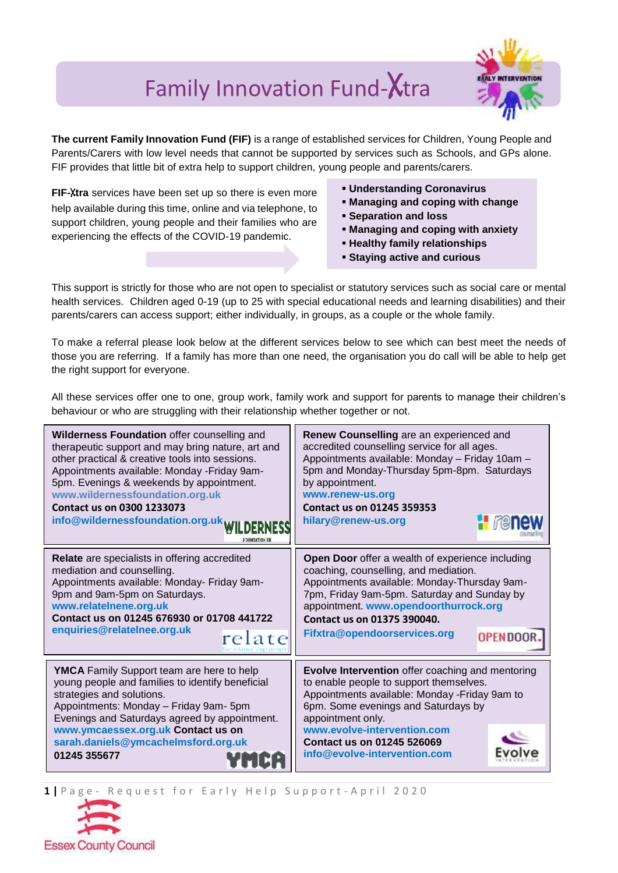# Family Innovation Fund-Xtra



**The current Family Innovation Fund (FIF)** is a range of established services for Children, Young People and Parents/Carers with low level needs that cannot be supported by services such as Schools, and GPs alone. FIF provides that little bit of extra help to support children, young people and parents/carers.

**FIF-**X**tra** services have been set up so there is even more help available during this time, online and via telephone, to support children, young people and their families who are experiencing the effects of the COVID-19 pandemic.

- **Understanding Coronavirus**
- **Managing and coping with change**
- **Separation and loss**
- **Managing and coping with anxiety**
- **Healthy family relationships**
- **Staying active and curious**

This support is strictly for those who are not open to specialist or statutory services such as social care or mental health services. Children aged 0-19 (up to 25 with special educational needs and learning disabilities) and their parents/carers can access support; either individually, in groups, as a couple or the whole family.

To make a referral please look below at the different services below to see which can best meet the needs of those you are referring. If a family has more than one need, the organisation you do call will be able to help get the right support for everyone.

All these services offer one to one, group work, family work and support for parents to manage their children's behaviour or who are struggling with their relationship whether together or not.



**1 |** P a g e - R e q u e s t f o r E a r l y H e l p S u p p o r t - A p r i l 2 0 2 0

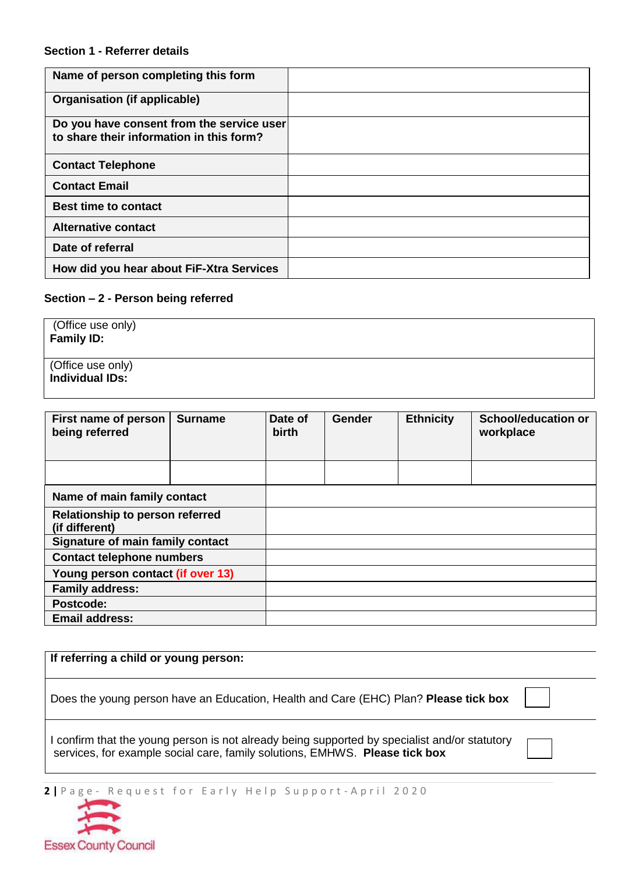## **Section 1 - Referrer details**

| Name of person completing this form                                                   |  |
|---------------------------------------------------------------------------------------|--|
| <b>Organisation (if applicable)</b>                                                   |  |
| Do you have consent from the service user<br>to share their information in this form? |  |
| <b>Contact Telephone</b>                                                              |  |
| <b>Contact Email</b>                                                                  |  |
| <b>Best time to contact</b>                                                           |  |
| <b>Alternative contact</b>                                                            |  |
| Date of referral                                                                      |  |
| How did you hear about FIF-Xtra Services                                              |  |

## **Section – 2 - Person being referred**

| (Office use only)<br>Family ID: |  |
|---------------------------------|--|
| (Office use only)               |  |
| Individual IDs:                 |  |

| First name of person<br>being referred                   | <b>Surname</b> | Date of<br>birth | <b>Gender</b> | <b>Ethnicity</b> | <b>School/education or</b><br>workplace |
|----------------------------------------------------------|----------------|------------------|---------------|------------------|-----------------------------------------|
|                                                          |                |                  |               |                  |                                         |
| Name of main family contact                              |                |                  |               |                  |                                         |
| <b>Relationship to person referred</b><br>(if different) |                |                  |               |                  |                                         |
| <b>Signature of main family contact</b>                  |                |                  |               |                  |                                         |
| <b>Contact telephone numbers</b>                         |                |                  |               |                  |                                         |
| Young person contact (if over 13)                        |                |                  |               |                  |                                         |
| <b>Family address:</b>                                   |                |                  |               |                  |                                         |
| Postcode:                                                |                |                  |               |                  |                                         |
| <b>Email address:</b>                                    |                |                  |               |                  |                                         |

## **If referring a child or young person:**

Does the young person have an Education, Health and Care (EHC) Plan? **Please tick box**

I confirm that the young person is not already being supported by specialist and/or statutory services, for example social care, family solutions, EMHWS. **Please tick box** 

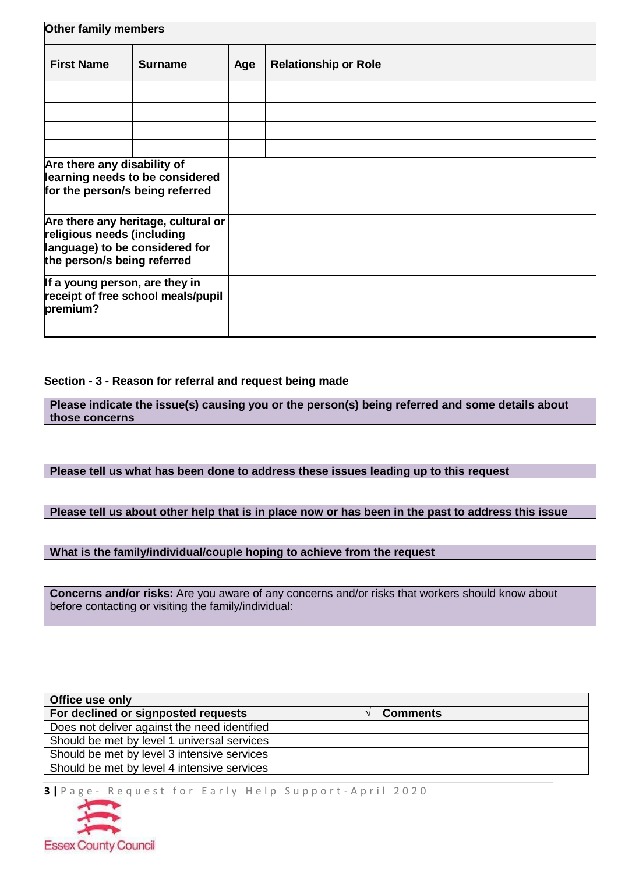| Other family members                                                             |                                                                       |     |                             |
|----------------------------------------------------------------------------------|-----------------------------------------------------------------------|-----|-----------------------------|
| <b>First Name</b>                                                                | <b>Surname</b>                                                        | Age | <b>Relationship or Role</b> |
|                                                                                  |                                                                       |     |                             |
|                                                                                  |                                                                       |     |                             |
|                                                                                  |                                                                       |     |                             |
| Are there any disability of                                                      | learning needs to be considered<br>for the person/s being referred    |     |                             |
| religious needs (including<br>the person/s being referred                        | Are there any heritage, cultural or<br>language) to be considered for |     |                             |
| If a young person, are they in<br>receipt of free school meals/pupil<br>premium? |                                                                       |     |                             |

# **Section - 3 - Reason for referral and request being made**

| Please indicate the issue(s) causing you or the person(s) being referred and some details about<br>those concerns                                               |
|-----------------------------------------------------------------------------------------------------------------------------------------------------------------|
|                                                                                                                                                                 |
|                                                                                                                                                                 |
| Please tell us what has been done to address these issues leading up to this request                                                                            |
|                                                                                                                                                                 |
| Please tell us about other help that is in place now or has been in the past to address this issue                                                              |
|                                                                                                                                                                 |
| What is the family/individual/couple hoping to achieve from the request                                                                                         |
|                                                                                                                                                                 |
| <b>Concerns and/or risks:</b> Are you aware of any concerns and/or risks that workers should know about<br>before contacting or visiting the family/individual: |
|                                                                                                                                                                 |

| Office use only                              |                 |
|----------------------------------------------|-----------------|
| For declined or signposted requests          | <b>Comments</b> |
| Does not deliver against the need identified |                 |
| Should be met by level 1 universal services  |                 |
| Should be met by level 3 intensive services  |                 |
| Should be met by level 4 intensive services  |                 |

**3** | Page - Request for Early Help Support - April 2020

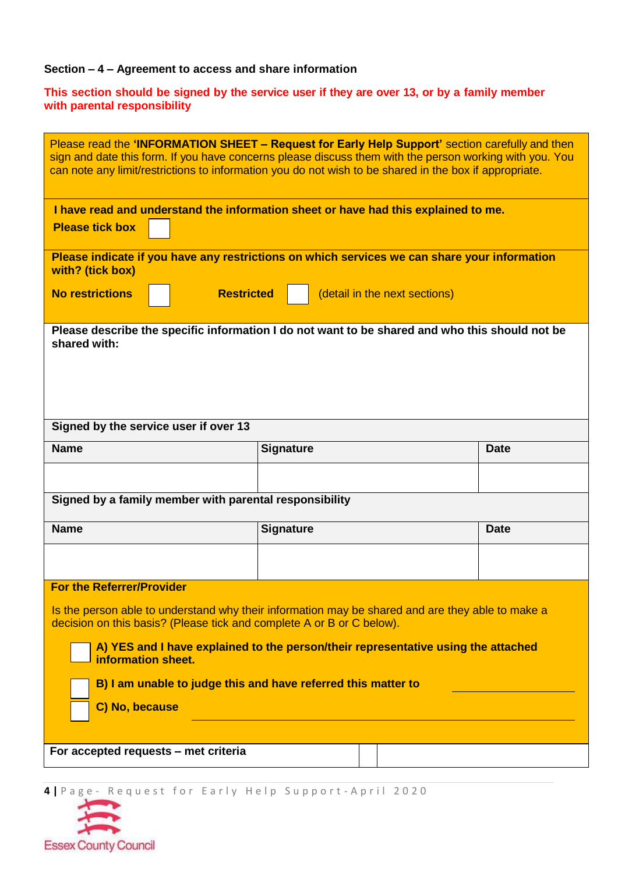## **Section – 4 – Agreement to access and share information**

**This section should be signed by the service user if they are over 13, or by a family member with parental responsibility**

| Please read the 'INFORMATION SHEET - Request for Early Help Support' section carefully and then<br>sign and date this form. If you have concerns please discuss them with the person working with you. You<br>can note any limit/restrictions to information you do not wish to be shared in the box if appropriate. |                                                        |                                                                                              |             |  |
|----------------------------------------------------------------------------------------------------------------------------------------------------------------------------------------------------------------------------------------------------------------------------------------------------------------------|--------------------------------------------------------|----------------------------------------------------------------------------------------------|-------------|--|
| I have read and understand the information sheet or have had this explained to me.<br><b>Please tick box</b>                                                                                                                                                                                                         |                                                        |                                                                                              |             |  |
| with? (tick box)                                                                                                                                                                                                                                                                                                     |                                                        | Please indicate if you have any restrictions on which services we can share your information |             |  |
| <b>No restrictions</b>                                                                                                                                                                                                                                                                                               | <b>Restricted</b>                                      | (detail in the next sections)                                                                |             |  |
| Please describe the specific information I do not want to be shared and who this should not be<br>shared with:                                                                                                                                                                                                       |                                                        |                                                                                              |             |  |
| Signed by the service user if over 13                                                                                                                                                                                                                                                                                |                                                        |                                                                                              |             |  |
| <b>Name</b>                                                                                                                                                                                                                                                                                                          |                                                        | <b>Signature</b>                                                                             | <b>Date</b> |  |
|                                                                                                                                                                                                                                                                                                                      |                                                        |                                                                                              |             |  |
|                                                                                                                                                                                                                                                                                                                      | Signed by a family member with parental responsibility |                                                                                              |             |  |
| <b>Name</b>                                                                                                                                                                                                                                                                                                          |                                                        | <b>Signature</b>                                                                             | <b>Date</b> |  |
|                                                                                                                                                                                                                                                                                                                      |                                                        |                                                                                              |             |  |
| <b>For the Referrer/Provider</b>                                                                                                                                                                                                                                                                                     |                                                        |                                                                                              |             |  |
| Is the person able to understand why their information may be shared and are they able to make a<br>decision on this basis? (Please tick and complete A or B or C below).                                                                                                                                            |                                                        |                                                                                              |             |  |
| A) YES and I have explained to the person/their representative using the attached<br>information sheet.                                                                                                                                                                                                              |                                                        |                                                                                              |             |  |
| B) I am unable to judge this and have referred this matter to                                                                                                                                                                                                                                                        |                                                        |                                                                                              |             |  |
| C) No, because                                                                                                                                                                                                                                                                                                       |                                                        |                                                                                              |             |  |
|                                                                                                                                                                                                                                                                                                                      |                                                        |                                                                                              |             |  |
| For accepted requests – met criteria                                                                                                                                                                                                                                                                                 |                                                        |                                                                                              |             |  |